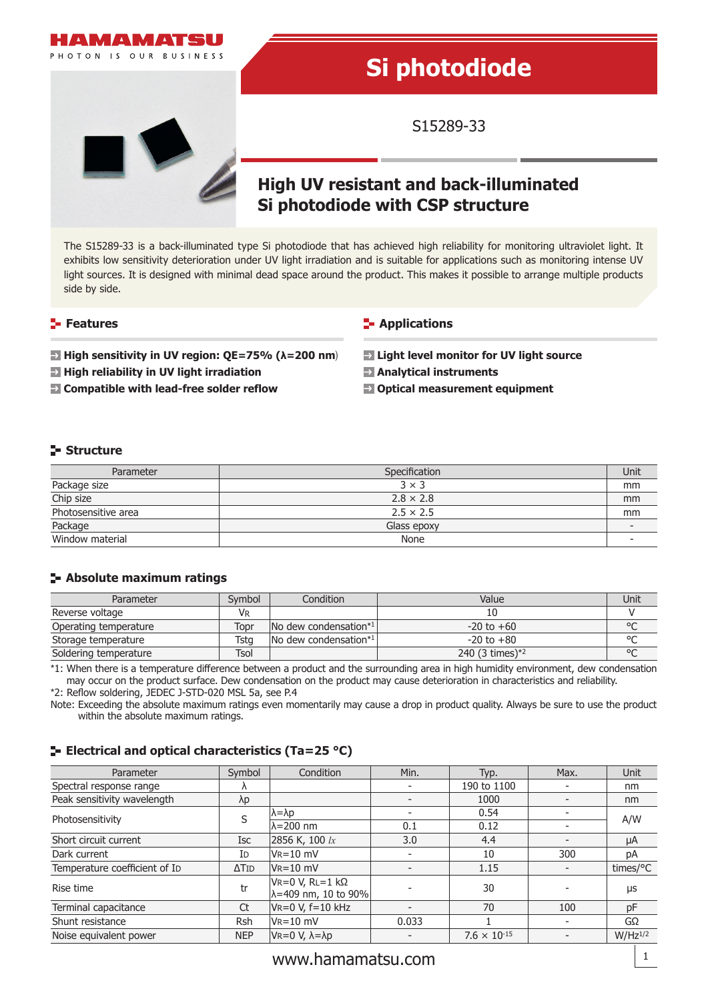

The S15289-33 is a back-illuminated type Si photodiode that has achieved high reliability for monitoring ultraviolet light. It exhibits low sensitivity deterioration under UV light irradiation and is suitable for applications such as monitoring intense UV light sources. It is designed with minimal dead space around the product. This makes it possible to arrange multiple products side by side.

#### **Features**

**High sensitivity in UV region: QE=75% (λ=200 nm**)

- **High reliability in UV light irradiation**
- **Compatible with lead-free solder reflow**

#### **Applications**

**Light level monitor for UV light source**

- **Analytical instruments**
- **Optical measurement equipment**

#### **Structure**

| Parameter           | Specification    | Unit |
|---------------------|------------------|------|
| Package size        | $3 \times 3$     | mm   |
| Chip size           | $2.8 \times 2.8$ | mm   |
| Photosensitive area | $2.5 \times 2.5$ | mm   |
| Package             | Glass epoxy      |      |
| Window material     | None             |      |

#### **Absolute maximum ratings**

| Parameter             | Symbol | Condition                       | Value              | Unit    |
|-----------------------|--------|---------------------------------|--------------------|---------|
| Reverse voltage       | Vr     |                                 |                    |         |
| Operating temperature | Topr   | $\lfloor$ No dew condensation*1 | $-20$ to $+60$     | $\circ$ |
| Storage temperature   | Tsta   | No dew condensation*1           | $-20$ to $+80$     | $\circ$ |
| Soldering temperature | Tsol   |                                 | 240 $(3 \times 1)$ | $\circ$ |

\*1: When there is a temperature difference between a product and the surrounding area in high humidity environment, dew condensation may occur on the product surface. Dew condensation on the product may cause deterioration in characteristics and reliability. \*2: Reflow soldering, JEDEC J-STD-020 MSL 5a, see P.4

Note: Exceeding the absolute maximum ratings even momentarily may cause a drop in product quality. Always be sure to use the product within the absolute maximum ratings.

#### **E** Electrical and optical characteristics (Ta=25 °C)

| Parameter                     | Symbol                   | Condition                                       | Min.                     | Typ.                  | Max. | Unit         |
|-------------------------------|--------------------------|-------------------------------------------------|--------------------------|-----------------------|------|--------------|
| Spectral response range       |                          |                                                 | $\overline{\phantom{a}}$ | 190 to 1100           |      | nm           |
| Peak sensitivity wavelength   | λp                       |                                                 |                          | 1000                  |      | nm           |
| Photosensitivity              | S                        | $\lambda = \lambda p$                           |                          | 0.54                  |      | A/W          |
|                               |                          | $\lambda = 200$ nm                              | 0.1                      | 0.12                  |      |              |
| Short circuit current         | Isc                      | 2856 K, 100 lx                                  | 3.0                      | 4.4                   |      | μA           |
| Dark current                  | Id                       | $V_R = 10$ mV                                   |                          | 10                    | 300  | рA           |
| Temperature coefficient of ID | $\Delta$ T <sub>ID</sub> | $V_R = 10$ mV                                   | $\overline{\phantom{0}}$ | 1.15                  |      | times/°C     |
| Rise time                     | tr                       | $V = 0 V, R = 1 k\Omega$<br>λ=409 nm, 10 to 90% |                          | 30                    |      | μs           |
| Terminal capacitance          | Ct                       | $VR=0 V, f=10 kHz$                              | $\overline{\phantom{0}}$ | 70                    | 100  | pF           |
| Shunt resistance              | <b>Rsh</b>               | $V_{R} = 10$ mV                                 | 0.033                    |                       |      | GΩ           |
| Noise equivalent power        | <b>NEP</b>               | $V = 0 V, λ = λp$                               |                          | $7.6 \times 10^{-15}$ |      | $W/Hz^{1/2}$ |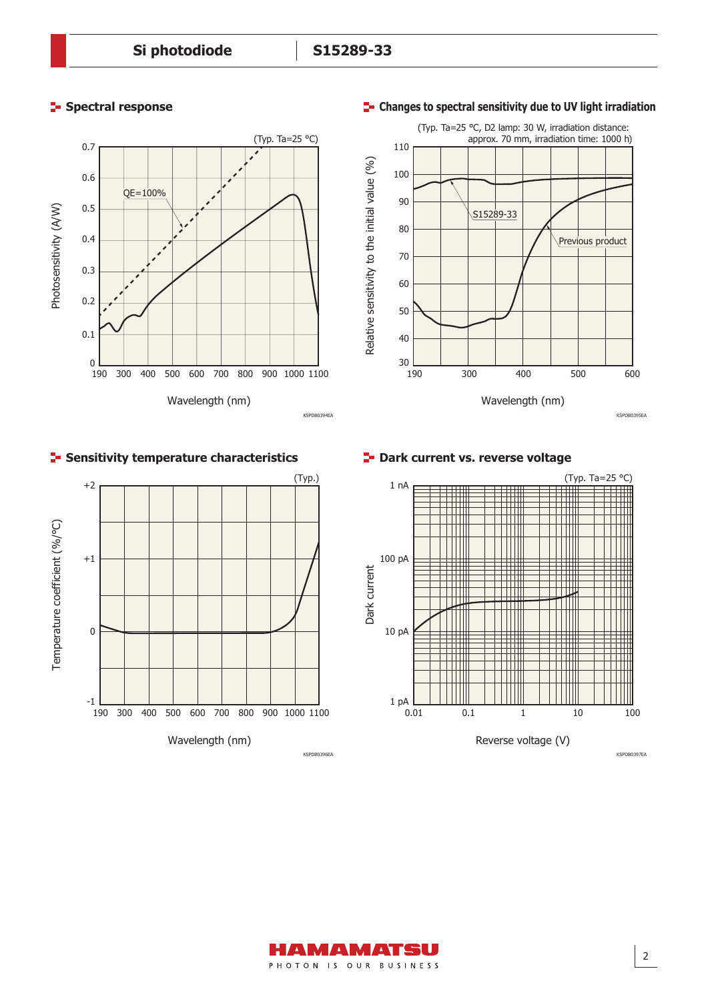### **Spectral response**





## **Sensitivity temperature characteristics**



**P**- Dark current vs. reverse voltage



2

#### **Changes to spectral sensitivity due to UV light irradiation**

PHOTON IS OUR BUSINESS

AMAMATSU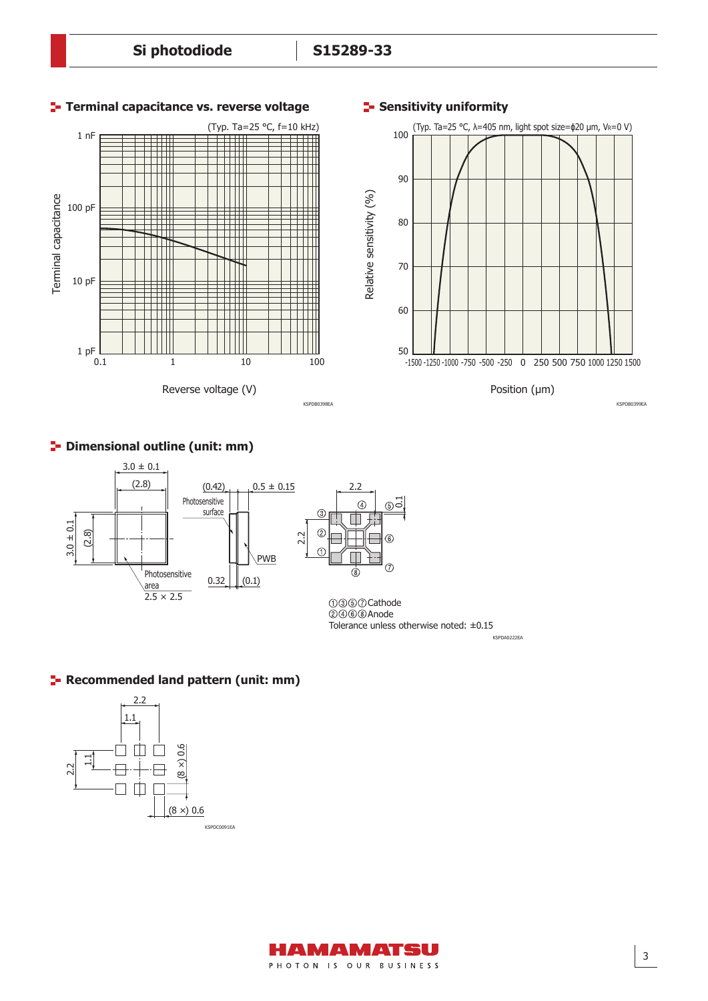#### **Si photodiode S15289-33**



#### **P** Dimensional outline (unit: mm)



KSPDA0222EA Tolerance unless otherwise noted: ±0.15

#### **Recommended land pattern (unit: mm)**